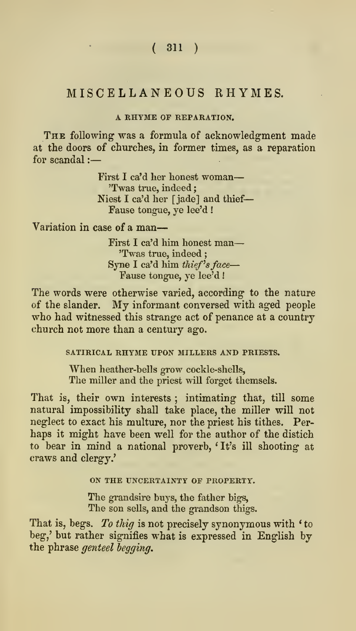# A RHYME OF REPARATION.

THE following was a formula of acknowledgment made at the doors of churches, in former times, as a reparation for scandal :-

> First <sup>I</sup> ca'd her honest woman 'Twas true, indeed; Niest I ca'd her [jade] and thief Fause tongue, ye lee'd !

Variation in case of a man

First <sup>I</sup> ca'd him honest man 'Twas true, indeed Syne I ca'd him thief's face-Fause tongue, ye lee'd !

The words were otherwise varied, according to the nature of the slander. My informant conversed with aged people who had witnessed this strange act of penance at a country church not more than a century ago.

SATIRICAL RHYME UPON MILLERS AND PRIESTS.

When heather-bells grow cockle-shells. The miller and the priest wiU forget themsels.

That is, their own interests; intimating that, till some natural impossibility shall take place, the miller will not neglect to exact his multure, nor the priest his tithes. Per haps it might have been well for the author of the distich to bear in mind a national proverb, 'It's ill shooting at craws and clergy.'

ON THE UNCERTAINTY OF PROPERTY.

The grandsire buys, the father bigs. The son sells, and the grandson thigs.

That is, begs. To thig is not precisely synonymous with 'to beg,' but rather signifies what is expressed in English by the phrase genteel begging.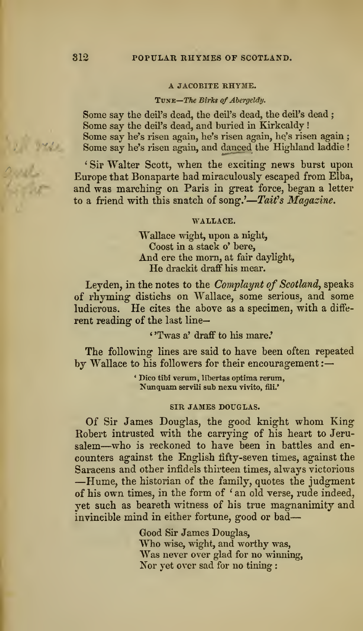#### A JACOBITE RHY3IE.

#### TUNE-The Birks of Abergeldy.

Some say the deil's dead, the deil's dead, the deil's dead ; Some say the deil's dead, and buried in Kirkcaldy ! Some say he's risen again, he's risen again, he's risen again ; Some say he's risen again, and danced the Highland laddie !

' Sir Walter Scott, when the exciting news burst upon Europe that Bonaparte had miraculously escaped from Elba, and was marching on Paris in great force, began a letter to a friend with this snatch of song.'—Tait's Magazine.

#### WALLACE.

Wallace wight, upon a night, Coost in a stack o' here, And ere the morn, at fair daylight, He drackit draff his mear.

Leyden, in the notes to the Complaynt of Scotland, speaks of rhyming distichs on Wallace, some serious, and some ludicrous. He cites the above as <sup>a</sup> specimen, with <sup>a</sup> diffe rent reading of the last line—

#### ' 'Twas a' draff to liis mare.'

The following lines are said to have been often repeated by Wallace to his followers for their encouragement :-

> ' Dico tibi verum, libertas optima rerum, Nunquam servili sub nexu vivito, fili.'

#### SIR JAMES DOUGLAS.

Of Sir James Douglas, the good knight whom King Robert intrusted with the carrying of his heart to Jeru salem—who is reckoned to have been in battles and en counters against the English fifty-seven times, against the Saracens and other infidels thirteen times, always victorious -Hume, the historian of the family, quotes the judgment of his own times, in the form of ' an old verse, rude indeed, yet such as beareth witness of his true magnanimity and invincible mind in either fortune, good or bad

> Good Sir James Douglas,<br>Who wise, wight, and worthy was,<br>Was never over glad for no winning, Nor yet over sad for no tining :

1 Will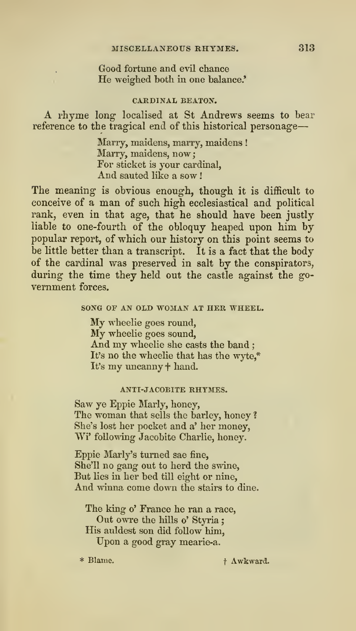## Good fortune and evil chance He weighed both ia one balance.'

### CARDINAL BEATON.

A rhyme long- localised at St Andrews seems to bear reference to the tragical end of this historical personage

> Marry, maidens, marry, maidens ! Marry, maidens, now: For sticket is your cardinal, And sauted like a sow !

The meaning is obvious enough, though it is difficult to conceive of a man of such high ecclesiastical and political rank, even in that age, that he should have been justly liable to one-fourth of the obloquy heaped upon him by popular report, of which our history on this point seems to be little better than a transcript. It is a fact that the body of the cardinal was preserved in salt by the conspirators, during the time they held out the castle against the go vernment forces.

#### SONG OF AN OLD WOMAN AT HER WHEEL.

My wheelie goes round,<br>My wheelie goes sound,<br>And my wheelie she casts the band ; It's no the wheelie that has the wyte,\* It's my uncanny  $\dagger$  hand.

#### ANTI-JACOBITE RHYMES.

Saw ye Eppie Marly, honey. The woman that sells the barley, honey ? She's lost her pocket and a' her money, Wi' following Jacobite Charlie, honey.

Eppie Marly's turned sae fine. She'll no gang out to herd the swine, But lies in her bed till eight or nine. And winna come down the stairs to dine.

The king o' France he ran a race, Out owre the hills o' Styria; His auldest son did follow him. Upon agood gray mearie-a.

\* Blame.

+ Awkward.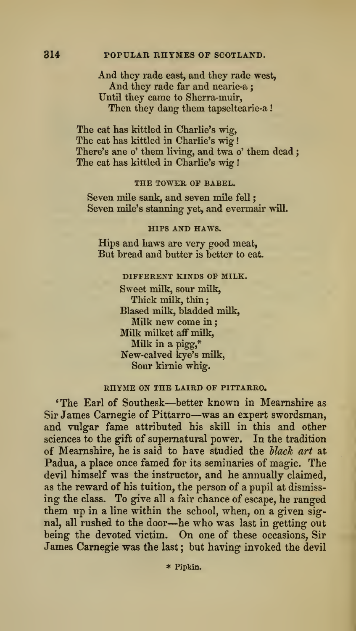## And they rade east, and they rade west, And they rade far and nearie-a ; Until they came to Sherra-muir, Then they dang them tapseltearie-a!

The cat has kittled in Charlie's wig, The cat has kittled in Charlie's wig! There's ane o' them living, and twa o' them dead; The cat has kittled in Charlie's wig

#### THE TOWER OF BABEL.

Seven mile sank, and seven mile fell Seven mile's stanning yet, and evermair will.

#### HIPS AND HAWS.

Hips and haws are very good meat, But bread and butter is better to eat.

# DIFFERENT KINDS OF MILK.

Sweet milk, sour milk, Thick milk, thin: Biased milk, bladded milk. Milk new come in Milk milket aff milk. Milk in a pigg,\* New-calved kye's milk. Sour kirnie whig.

### RHYME ON THE LAIRD OF PITTARRO.

'The Earl of Southesk—better known in Mearnshire as Sir James Carnegie of Pittarro—was an expert swordsman, and vulgar fame attributed his skill in this and other sciences to the gift of supernatural power. In the tradition of Mearnshire, he is said to have studied the Hack art at Padua, a place once famed for its seminaries of magic. The devil himself was the instructor, and he annually claimed, as the reward of his tuition, the person of a pupil at dismiss ing the class. To give all a fair chance of escape, he ranged them up in a line within the school, when, on a given signal, all rushed to the door—he who was last in getting out being the devoted victim. On one of these occasions. Sir James Carnegie was the last ; but having invoked the devil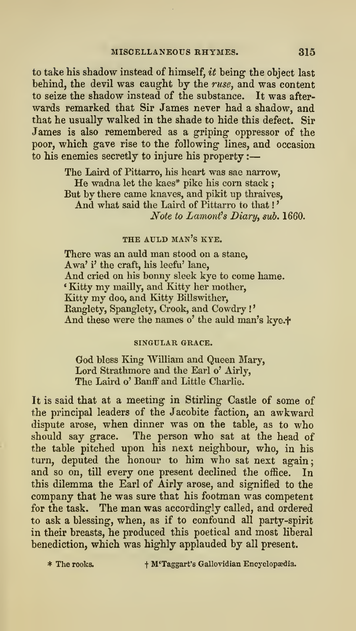to take his shadow instead of himself,  $it$  being the object last behind, the devil was caught by the ruse, and was content to seize the shadow instead of the substance. It was after wards remarked that Sir James never had a shadow, and that he usually walked in the shade to hide this defect. Sir James is also remembered as a griping oppressor of the poor, which gave rise to the following lines, and occasion to his enemies secretly to injure his property :

> The Laird of Pittarro, his heart was sae narrow, He wadna let the kaes\* pike his corn stack; But by there came knaves, and pikit up thraives, And what said the Laird of Pittarro to that !' Note to Lamont's Diary, sub. 1660.

### THE AULD man's KYE.

There was an auld man stood on a stane, Awa' i' the craft, his leefu' lane, And cried on his bonny sleek kye to come hame. \* Eatty my mailly, and Kitty her mother, Kitty my doo, and Kitty Billswither, Eanglety, Spanglety, Crook, and Cowdry ! And these were the names o' the auld man's kye.<sup>+</sup>

#### SINGULAR GRACE.

God bless King William and Queen Mary, Lord Strathmore and the Earl o' Airly, The Laird o' Banff and Little Charlie.

It is said that at a meeting- in Stirling- Castle of some of the principal leaders of the Jacobite faction, an awkward dispute arose, when dinner was on the table, as to who should say grace. The person who sat at the head of the table pitched upon his next neighbour, who, in his turn, deputed the honour to him who sat next again: and so on, till every one present declined the office. In this dilemma the Earl of Airly arose, and signified to the company that he was sure that his footman was competent for the task. The man was accordingly called, and ordered to ask a blessing, when, as if to confound all party-spirit in their breasts, he produced this poetical and most liberal benediction, which was highly applauded by all present.

\* The rooks. <sup>t</sup> M'Taggart's Gallovidian Encyclopasdia.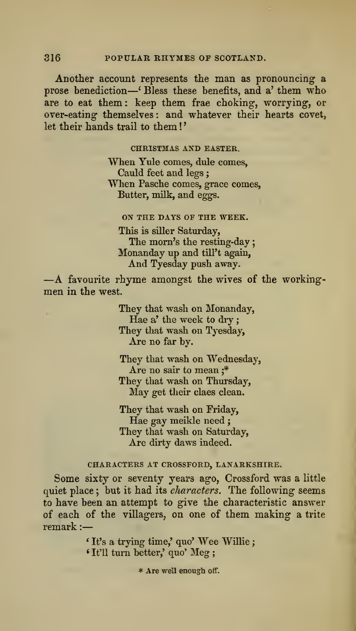Another account represents the man as pronouncing a prose benediction—' Bless these benefits, and a' them who are to eat them: keep them frae choking, worrying, or over-eating- themselves : and whatever their hearts covet, let their hands trail to them !

### CHRISTMAS AND EASTER.

When Yule comes, dule comes,<br>Cauld feet and legs ; When Pasche comes, grace comes, Butter, milk, and eggs.

#### ON THE DAYS OF THE WEEK.

This is siller Saturday,<br>The morn's the resting-day; Monanday up and till't again,<br>And Tyesday push away.

 $-A$  favourite rhyme amongst the wives of the working-men in the west.

They that wash on Monanday, Hae a' the week to dry; They that wash on Tyesday, Are no far by.

They that wash on Wednesday, Are no sair to mean ;\* They that wash on Thursday, May get their claes clean.

They that wash on Friday, Hae gay meikle need ; They that wash on Saturday, Are dirty daws indeed.

# CHARACTERS AT CROSSFORD, LANARKSHIRE.

Some sixty or seventy years ago, Crossford was a little quiet place; but it had its *characters*. The following seems to have been an attempt to give the characteristic answer of each of the villagers, on one of them making a trite remark :

> \* It's <sup>a</sup> trying time,' quo' Wee Willie ; <sup>&</sup>lt; It'll turn better,' quo' Meg ;

> > \* Are well enough off.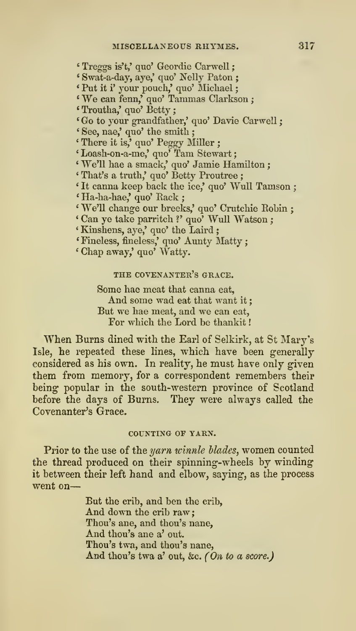\* Treggs is't,' quo' Geordie Carwell ' Swat-a-day, aye,' quo' Nelly Paton ; \* Put it i' your pouch,' quo' Micliael \* We can fenn,' quo' Tammas Clarkson ; \* Troutha,' quo' Betty ; 'Go to your grandfather,' quo' Davie Carwell ; ' See, nae,' quo' the smith ; ' There it is,' quo' Peggy Miller ; 'Loash-on-a-me,' quo' Tam Stewart; ' We'll hae a smack,' quo' Jamie Hamilton ; ' That's a truth,' quo' Betty Proutree ; \* It canna keep back the ice,' quo' WuU Tamson ; \* Ha-ha-hae,' quo' Back ; \* We'll change our breeks,' quo' Crutchie Bobin ; \* Can ye take parritch ?' quo' WuU Watson ; ' Kiushens, aye,' quo' the Laird ; \* Fineless, fineless,' quo' Aunty Matty ; \* Chap away,' quo' Watty.

THE covenanter's GRACE.

Some hae meat that canna eat. And some wad eat that want it; But we hae meat, and we can eat, For which the Lord be thankit

When Burns dined with the Earl of Selkirk, at St Mary's Isle, he repeated these lines, which have been generally considered as his own. In reality, he must have only given them from memory, for a correspondent remembers their being popular in the south-western province of Scotland before the days of Burns. They were always called the Covenanter's Grace.

### COUNTING OF YARN.

Prior to the use of the yarn winnle blades, women counted the thread produced on their spinning-wheels by winding it between their left hand and elbow, saying, as the process went on

> But the crib, and ben the crib, And down the crib raw Thou's ane, and thou's nane, And thou's ane a' out. Thou's twa, and thou's nane, And thou's twa a' out, &c. (On to a score.)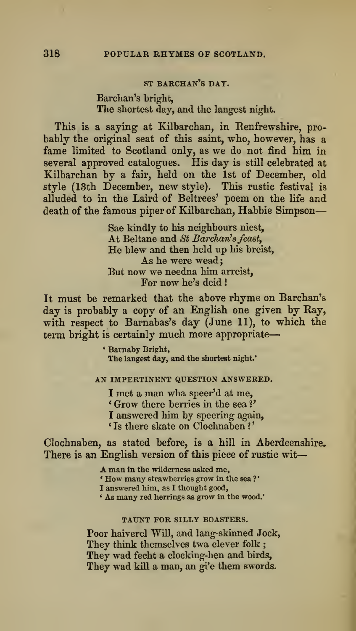### ST BARCHAN'S DAY.

Barchan's bright, The shortest day, and the langest night.

This is a saying at Kilbarchan, in Renfrewshire, pro bably the original seat of this saint, who, however, has a fame limited to Scotland only, as we do not find him in several approved catalogues. His day is still celebrated at Kilbarchan by a fair, held on the 1st of December, old style (13th December, new style). This rustic festival is alluded to in the Laird of Beltrees' poem on the life and death of the famous piper of Kilbarchan, Habbie Simpson

> Sae kindly to his neighbours niest, At Beltane and St Barchan's feast, He blew and then held up his breist, As he were wead; But now we needna him arreist. For now he's deid !

It must be remarked that the above rhyme on Barchan's day is probably a copy of an English one given by Ray, with respect to Barnabas's day (June 11), to which the term bright is certainly much more appropriate-

> ' Bamaby Bright, The langest day, and the shortest night.'

### AN IMPERTINENT QUESTION ANSWERED.

<sup>I</sup> met a man wha speer'd at me, ' Grow there berries in the sea V I answered him by speering again, ' Is there skate on Clochnaben ?

Clochnaben, as stated before, is a hill in Aberdeenshire. There is an English version of this piece of rustic wit

> A man in the wilderness asked me, ' How many strawberries grow in the sea ? I answered him, as I thought good, • As many red herrings as grow in the wood.'

# TAUNT FOR SILLY BOASTERS.

Poor haiverel Will, and lang-skinned Jock, They think themselves twa clever folk ; They wad fecht a clocking-hen and birds, They wad kill a man, an gi'e them swords.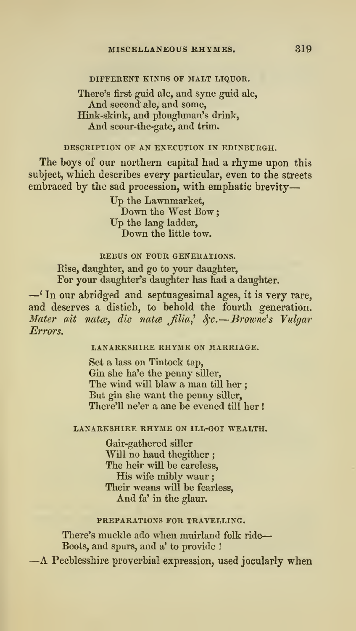# DIFFERENT KINDS OF MALT LIQUOR.

## There's first guid ale, and syne guid ale, And second ale, and some, Hink-skink, and ploughman's drink, And scour-the-gate, and trim.

#### DESCRIPTION OF AN EXECUTION IN EDINBURGH.

The boys of our northern capital had a rhyme upon this subject, which describes every particular, even to the streets embraced by the sad procession, with emphatic brevity

> Up the Lawnmarket, Down the West Bow: Up the lang ladder, Down the little tow.

## REBUS ON FOUR GENERATIONS.

Rise, daughter, and go to your daughter,

 $-\prime$  In our abridged and septuagesimal ages, it is very rare, and deserves a distich, to behold the fourth generation. Mater ait natæ, die natæ filia,  $\&c. -Brown's$  Vulgar Errors.

#### LANARKSHIRE RHYME ON MARRIAGE.

Set a lass on Tintock tap, Gin she ha'e the penny siller. The wind will blaw a man till her ; But gin she want the penny siller, There'll ne'er a ane be evened till her !

#### LANARKSHIRE RHYME ON ILL-GOT WEALTH.

Gair-gathered siller Will no haud thegither; The heir will be careless. His wife mibly waur ; Their weans will be fearless, And fa' in the glaur.

#### PREPARATIONS FOR TRAVELLING.

There's muckle ado when muirland folk ride---<br>Boots, and spurs, and a' to provide !

 $-A$  Peeblesshire proverbial expression, used jocularly when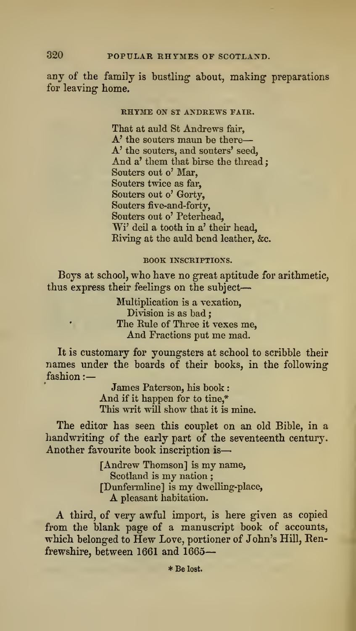any of the family is bustling about, making preparations for leaving home.

### RHYME ON ST ANDREWS FAIR.

That at auld St Andrews fair, A' the souters maun be there A' the souters, and souters' seed, And a' them that birse the thread; Souters out o' Mar, Souters twice as far, Souters out o' Gorty, Souters five-and-forty, Souters out o' Peterhead, Wi' deil a tooth in a' their head, Eiving at the auld bend leather, &c.

#### BOOK INSCRIPTIONS.

Boys at school, who have no great aptitude for arithmetic, thus express their feelings on the subject

> Multiplication is a vexation. Division is as bad ; The Rule of Three it vexes me. And Fractions put me mad.

It is customary for youngsters at school to scribble their names under the boards of their books, in the following fashion :-

> James Paterson, his book And if it happen for to tine,\* This writ will show that it is mine.

The editor has seen this couplet on an old Bible, in a handwriting of the early part of the seventeenth century. Another favourite book inscription is

> [Andrew Thomson] is my name, Scotland is my nation; [Dunfennline] ismy dwelling-place, <sup>A</sup> pleasant habitation.

A third, of very awful import, is here given as copied from the blank page of a manuscript book of accounts, which belonged to Hew Love, portioner of John's Hill, Renfrewshire, between 1661 and 1665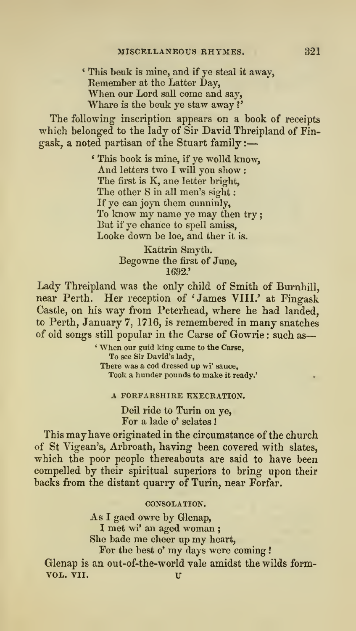\* This beuk is mine, and if ye steal it away, When our Lord sall come and say, Whare is the beuk ye staw away?'

The following inscription appears on a book of receipts which belonged to the lady of Sir David Threipland of Fingask, a noted partisan of the Stuart family :-

> ' This book is mine, if ye wolld know. And letters two <sup>I</sup> will you show : The first is K, ane letter bright, The other S in all men's sight: If ye can joyn them cunninly, To know my name ye may then try But if ye chance to spell amiss, Looke down be loe, and ther it is.

> > Kattrin Smyth. Begowne the first of June, 1692.'

Lady Threipland was the only child of Smith of Burnhill, near Perth. Her reception of 'James VIII.' at Fingask Castle, on his way from Peterhead, where he had landed, to Perth, January 7, 1716, is remembered in many snatches of old songs still popular in the Carse of Gowrie : such as

> ' When our guid king came to the Carse, To see Sir David's lady, There was a cod dressed up wi' sauce. Took a hunder pounds to make it ready.\*

A FORFARSHIRE EXECRATION.

Deil ride to Turin on ye, For a lade o' sclates !

This may have originated in the circumstance of the church of St Vigean's, Arbroath, having been covered with slates, which the poor people thereabouts are said to have been compelled by their spiritual superiors to bring upon their backs from the distant quarry of Turin, near Forfar.

CONSOLATION.

As I gaed owre by Glenap, <sup>I</sup> met wi' an aged woman ; She bade me cheer up my heart. For the best o' my days were coming ! Glenap is an out-of-the-world vale amidst the wilds form-VOL. VII. u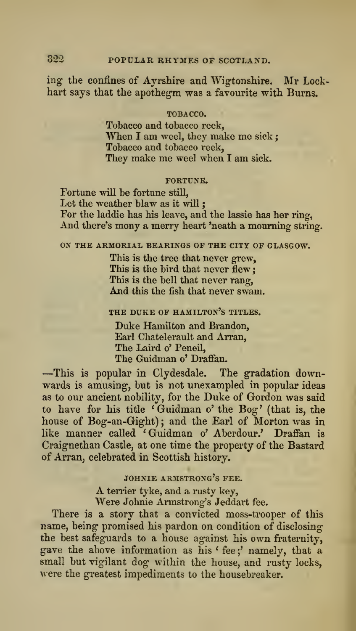ing the confines of Ayrshire and Wigtonshire. Mr Lockhart says that the apothegm was a favourite with Burns.

#### TOBACCO.

Tobacco and tobacco reek, When I am weel, they make me sick; Tobacco and tobacco reek, They make me weel when <sup>I</sup> am sick.

#### FORTUNE.

Fortune will be fortune still, Let the weather blaw as it will : For the laddie has his leave, and the lassie has her ring, And there's mony a merry heart 'neath a mourning string.

### ox THE ARMORIAL BEARINGS OF THE CITY OF GLASGOW.

This is the tree that never grew, This is the bird that never flew: This is the bell that never rang, And this the fish that never swam.

## THE DUKE OF HAMILTON'S TITLES.

Duke Hamilton and Brandon, Earl Chatelerault and Arran, The Laird o' Peneil,<br>The Guidman o' Draffan.

-This is popular in Clydesdale. The gradation downwards is amusing, but is not unexampled in popular ideas as to our ancient nobility, for the Duke of Gordon was said to have for his title 'Guidman o' the Bog' (that is, the house of Bog-an-Gight); and the Earl of Morton was in like manner called 'Guidman o' Aberdour.' Draffan is Craignethan Castle, at one time the property of the Bastard of Arran, celebrated in Scottish history.

# JOHNIE ARMSTRONG'S FEE.

A terrier tyke, and a rusty key, Were Johnie Armstrong's Jeddart fee.

There is a story that a convicted moss-trooper of this name, being promised his pardon on condition of disclosingthe best safeguards to a house against his own fraternity, gave the above information as his ' fee ;' namely, that a small but vigilant dog within the house, and rusty locks, were the greatest impediments to the housebreaker.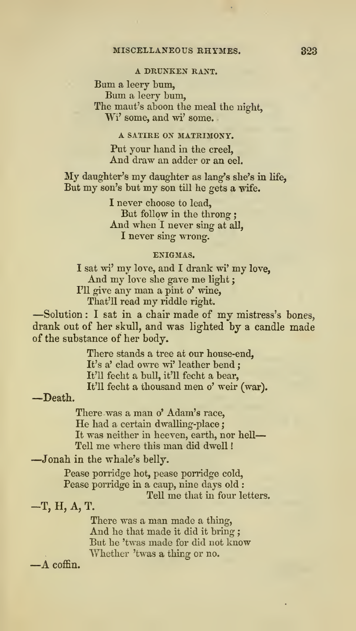# A DRUNKEN RANT.

Bum <sup>a</sup> leery bum, Bum <sup>a</sup> leery bum, The maut's aboon the meal the night, Wi' some, and wi' some.

## A SATIRE ON MATRIMONY.

Put your hand in the creel, And draw an adder or an eel.

My daughter's my daughter as lang's she's in life, But my son's but my son till he gets <sup>a</sup> wife.

> I never choose to lead,<br>But follow in the throng: And when I never sing at all, I never sing wrong.

#### ENIGMAS.

I sat wi' my love, and I drank wi' my love, And my love she gave me light; I'll give any man a pint o' wine, That'll read my riddle right.

-Solution : I sat in a chair made of my mistress's bones, drank out of her skull, and was lighted by a candle made of the substance of her body.

There stands a tree at our house-end, It's a' clad owre wi' leather bend ; It'll fecht a bull, it'U fecht a bear. It'll fecht <sup>a</sup> thousand men o' weir (war). —Death.

There was a man o' Adam's race. He had a certain dwalling-place; It was neither in heeven, earth, nor hell Tell me where this man did dwell !

—Jonah in the whale's belly.

Pease porridge hot, pease porridge cold, Pease porridge in a caup, nine days old : Tell me that in four letters.

-T, H, A, T.

There was a man made a thing. And he that made it did it bring; But he 'twas made for did not know Whether 'twas a thing or no. —A coffin.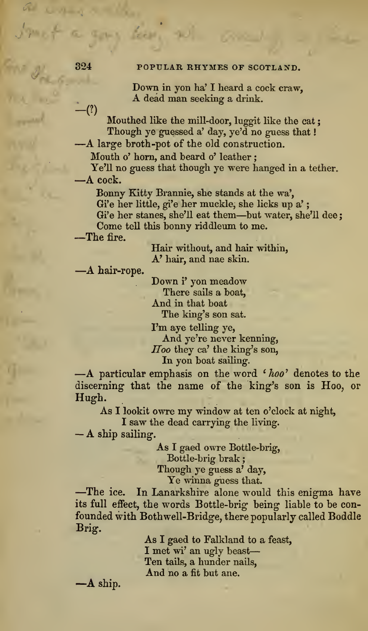Down in yon ha' I heard a cock craw,<br>
A dead man seeking a drink.<br>  $-(?)$ <br>
Mouthed like the mill-door, luggit like the cat;

Though ye guessed a' day, ye'd no guess that !

—A large broth-pot of the old construction.

Mouth o' horn, and beard o' leather ;

Ye'll no guess that though ye were hanged in <sup>a</sup> tether. —<sup>A</sup> cock.

Bonny Kitty Brannie, she stands at the wa', Gi'e her little, gi'e her muckle, she licks up a' Gi'e her stanes, she'll eat them—but water, she'll dee; Come tell this bonny riddleum to me.<br>—The fire.

Hair without, and hair within, A' hair, and nae skin.<br>—A hair-rope. Down i' yon meadow

There sails a boat, And in that boat The king's son sat.

I'm aye telling ye, And ye're never kenning, Hoo they ca' the king's son,

In yon boat sailing.<br>
—A particular emphasis on the word ' $hoo$ ' denotes to the discerning that the name of the king's son is Hoo, or Hugh.

As <sup>I</sup> lookit owre my window at ten o'clock at night,

<sup>I</sup> saw the dead carrying the living. — <sup>A</sup> ship sailing.

As I gaed owre Bottle-brig, Bottle-brig brak Though ye guess a' day.

Ye winua guess that. —The ice. In Lanarkshire alone would this enigma have its full effect, the words Bottle-brig being liable to be confounded with Bothwell-Bridge, there popularly called Boddle Brig.

As I gaed to Falkland to a feast, I met wi' an ugly beast Ten tails, a hunder nails,  $\mathbf{A}$  and no a fit but ane.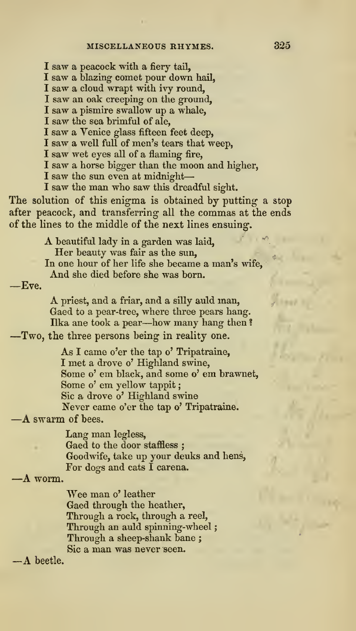I saw a peacock with a fiery tail.

I saw a blazing comet pour down hail,

I saw a cloud wrapt with ivy round,

I saw an oak creeping on the ground,

I saw a pismire swallow up a whale,

I saw the sea brimful of ale,

I saw a Venice glass fifteen feet deep,

I saw a well full of men's tears that weep,

I saw wet eyes all of a flaming fire,

<sup>I</sup> saw a horse bigger than the moon and higher,

I saw the sun even at midnight-

<sup>I</sup> saw the man who saw this dreadful sight.

The solution of this enigma is obtained by putting a stop after peacock, and transferring- all the commas at the ends of the lines to the middle of the next lines ensuing-.

> A beautiful lady in <sup>a</sup> garden was laid. Her beauty was fair as the sun. In one hour of her life she became a man's wife. And she died before she was born.

—Eve.

A priest, and <sup>a</sup> friar, and <sup>a</sup> silly auld man, Gaed to a pear-tree, where three pears hang.<br>Ilka ane took a pear--how many hang then?

-Two, the three persons being in reality one.

As <sup>I</sup> came o'er the tap o' Tripatraine, I met a drove o' Highland swine. Some o' em black, and some o' em brawnet. Some o' em yellow tappit Sic a drove o' Highland swine Never came o'er the tap o' Tripatraine. —<sup>A</sup> swarm of bees.

Lang man legless, Gaed to the door staffless ; Goodwife, take up your deuks and hens, For dogs and cats I carena.<br>-A worm.

Wee man o' leather Gaed through the heather. Through a rock, through a reel, Through an auld spinning-wheel; Through a sheep-shank bane ; Sic <sup>a</sup> man was never seen. —A beetle.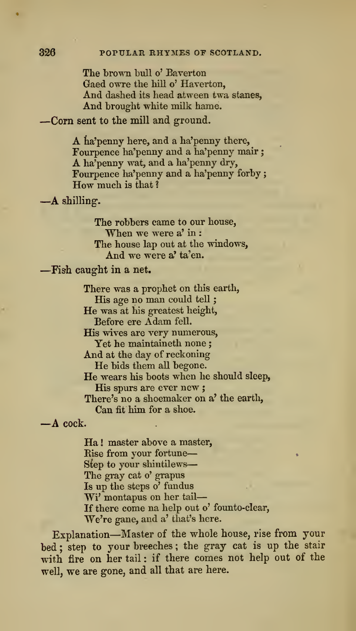The brown bull o' Baverton Gaed owre the hill o' Haverton, And dashed its head atween twa stanes,<br>And brought white milk hame.

-Corn sent to the mill and ground.

A ha'penny here, and <sup>a</sup> ha'penny there, Fourpence ha'penny and a ha'penny mair A ha'penny wat, and a ha'penny dry, Fournence ha'penny and a ha'penny forby; How much is that  $?$  —A shilling.

The robbers came to our house,<br>When we were  $a'$  in : The house lap out at the windows,<br>And we were a' ta'en.

### -Fish caught in a net.

There was a prophet on this earth, His age no man could tell; He was at his greatest height, Before ere Adam fell. His wives are very numerous. Yet he maintaineth none ; And at the day of reckoning He bids them all begone. He wears his boots when he should sleep, His spurs are ever new ; There's no a shoemaker on a' the earth. Can fit him for a shoe.<br> $- A \csc k$ .

Ha ! master above a master, Rise from your fortune Step to your shintilews-The gray cat o' grapus Is up the steps o' fundus Wi' montapus on her tail-If there come na help out o' founto-clear. We're gane, and a' that's here.

•

Explanation—Master of the whole house, rise from your bed ; step to your breeches ; the gray cat is up the stair with fire on her tail: if there comes not help out of the well, we are gone, and all that are here.